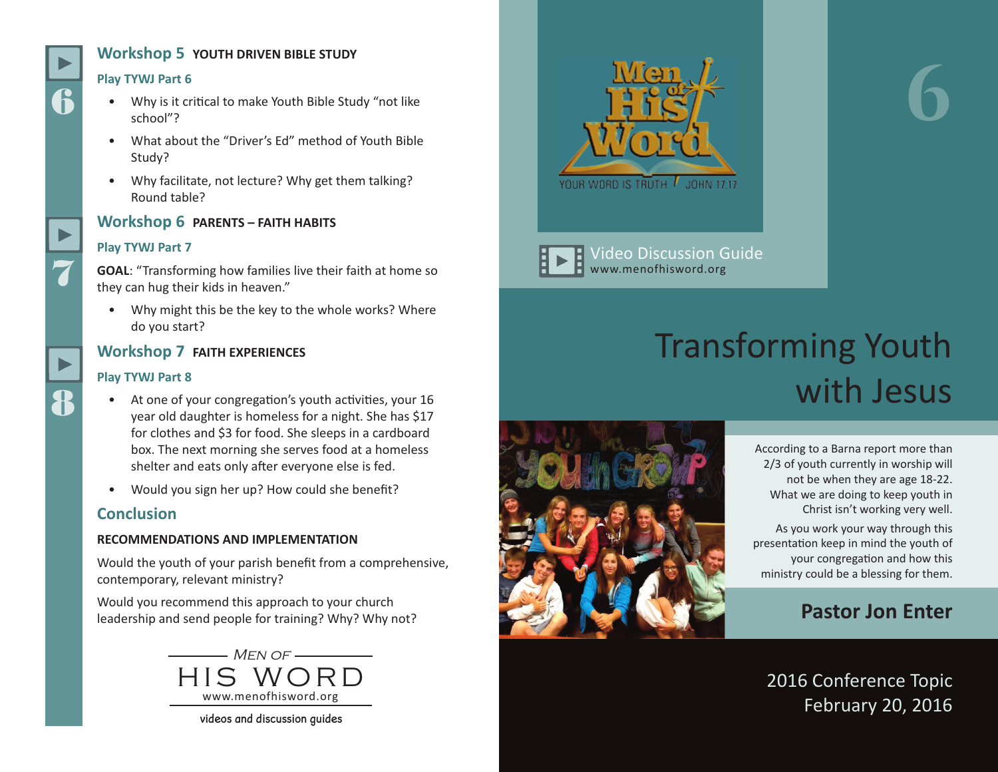# **Workshop 5 YOUTH DRIVEN BIBLE STUDY**

#### **Play TYWJ Part 6**

6

7

8

- Why is it critical to make Youth Bible Study "not like school"?
- What about the "Driver's Ed" method of Youth Bible Study?
- Why facilitate, not lecture? Why get them talking? Round table?



#### **Play TYWJ Part 7**

**GOAL**: "Transforming how families live their faith at home so they can hug their kids in heaven."

• Why might this be the key to the whole works? Where do you start?

#### **Workshop 7 FAITH EXPERIENCES**

#### **Play TYWJ Part 8**

- At one of your congregation's youth activities, your 16 year old daughter is homeless for a night. She has \$17 for clothes and \$3 for food. She sleeps in a cardboard box. The next morning she serves food at a homeless shelter and eats only after everyone else is fed.
- Would you sign her up? How could she benefit?

# **Conclusion**

#### **RECOMMENDATIONS AND IMPLEMENTATION**

Would the youth of your parish benefit from a comprehensive, contemporary, relevant ministry?

Would you recommend this approach to your church leadership and send people for training? Why? Why not?



videos and discussion guides



Video Discussion Guide www.menofhisword.org

# Transforming Youth with Jesus



According to a Barna report more than 2/3 of youth currently in worship will not be when they are age 18-22. What we are doing to keep youth in Christ isn't working very well.

**6**

As you work your way through this presentation keep in mind the youth of your congregation and how this ministry could be a blessing for them.

# **Pastor Jon Enter**

2016 Conference Topic February 20, 2016